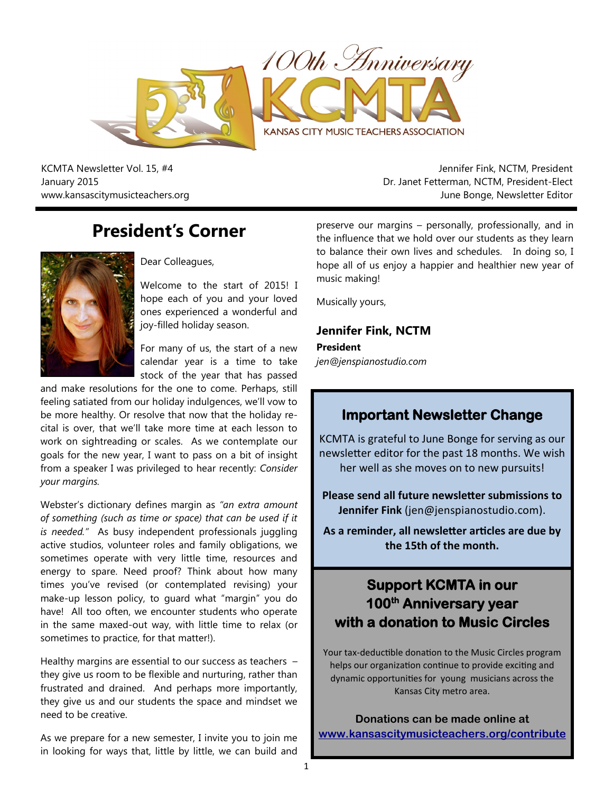

KCMTA Newsletter Vol. 15, #4 January 2015 www.kansascitymusicteachers.org

Jennifer Fink, NCTM, President Dr. Janet Fetterman, NCTM, President-Elect June Bonge, Newsletter Editor

# **President's Corner**



Dear Colleagues,

Welcome to the start of 2015! I hope each of you and your loved ones experienced a wonderful and joy-filled holiday season.

For many of us, the start of a new calendar year is a time to take stock of the year that has passed

and make resolutions for the one to come. Perhaps, still feeling satiated from our holiday indulgences, we'll vow to be more healthy. Or resolve that now that the holiday recital is over, that we'll take more time at each lesson to work on sightreading or scales. As we contemplate our goals for the new year, I want to pass on a bit of insight from a speaker I was privileged to hear recently: *Consider your margins.*

Webster's dictionary defines margin as *"an extra amount of something (such as time or space) that can be used if it is needed."* As busy independent professionals juggling active studios, volunteer roles and family obligations, we sometimes operate with very little time, resources and energy to spare. Need proof? Think about how many times you've revised (or contemplated revising) your make-up lesson policy, to guard what "margin" you do have! All too often, we encounter students who operate in the same maxed-out way, with little time to relax (or sometimes to practice, for that matter!).

Healthy margins are essential to our success as teachers – they give us room to be flexible and nurturing, rather than frustrated and drained. And perhaps more importantly, they give us and our students the space and mindset we need to be creative.

As we prepare for a new semester, I invite you to join me in looking for ways that, little by little, we can build and

preserve our margins – personally, professionally, and in the influence that we hold over our students as they learn to balance their own lives and schedules. In doing so, I hope all of us enjoy a happier and healthier new year of music making!

Musically yours,

### **Jennifer Fink, NCTM**

**President** *jen@jenspianostudio.com*

## **Important Newsletter Change**

KCMTA is grateful to June Bonge for serving as our newsletter editor for the past 18 months. We wish her well as she moves on to new pursuits!

**Please send all future newsletter submissions to Jennifer Fink** (jen@jenspianostudio.com).

**As a reminder, all newsletter articles are due by the 15th of the month.**

# **Support KCMTA in our 100th Anniversary year with a donation to Music Circles**

Your tax-deductible donation to the Music Circles program helps our organization continue to provide exciting and dynamic opportunities for young musicians across the Kansas City metro area.

**Donations can be made online at [www.kansascitymusicteachers.org/contribute](http://kansascitymusicteachers.org/contribute)**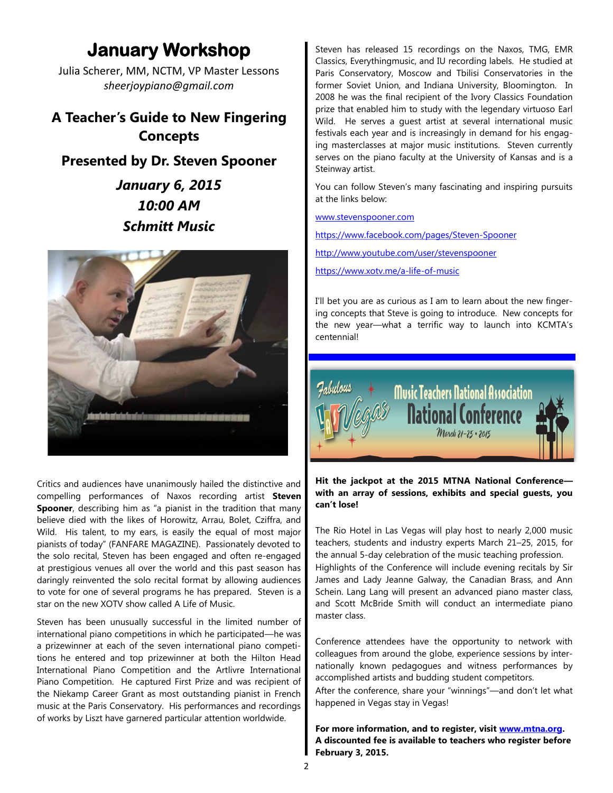# **January Workshop**

Julia Scherer, MM, NCTM, VP Master Lessons *sheerjoypiano@gmail.com*

# **A Teacher's Guide to New Fingering Concepts**

**Presented by Dr. Steven Spooner**

*January 6, 2015 10:00 AM Schmitt Music*



Critics and audiences have unanimously hailed the distinctive and compelling performances of Naxos recording artist **Steven Spooner**, describing him as "a pianist in the tradition that many believe died with the likes of Horowitz, Arrau, Bolet, Cziffra, and Wild. His talent, to my ears, is easily the equal of most major pianists of today" (FANFARE MAGAZINE). Passionately devoted to the solo recital, Steven has been engaged and often re-engaged at prestigious venues all over the world and this past season has daringly reinvented the solo recital format by allowing audiences to vote for one of several programs he has prepared. Steven is a star on the new XOTV show called A Life of Music.

Steven has been unusually successful in the limited number of international piano competitions in which he participated—he was a prizewinner at each of the seven international piano competitions he entered and top prizewinner at both the Hilton Head International Piano Competition and the Artlivre International Piano Competition. He captured First Prize and was recipient of the Niekamp Career Grant as most outstanding pianist in French music at the Paris Conservatory. His performances and recordings of works by Liszt have garnered particular attention worldwide.

Steven has released 15 recordings on the Naxos, TMG, EMR Classics, Everythingmusic, and IU recording labels. He studied at Paris Conservatory, Moscow and Tbilisi Conservatories in the former Soviet Union, and Indiana University, Bloomington. In 2008 he was the final recipient of the Ivory Classics Foundation prize that enabled him to study with the legendary virtuoso Earl Wild. He serves a guest artist at several international music festivals each year and is increasingly in demand for his engaging masterclasses at major music institutions. Steven currently serves on the piano faculty at the University of Kansas and is a Steinway artist.

You can follow Steven's many fascinating and inspiring pursuits at the links below:

[www.stevenspooner.com](http://www.stevenspooner.com/)

[https://www.facebook.com/pages/Steven-Spooner](https://www.facebook.com/pages/Steven-Spooner/205742743337)

[http://www.youtube.com/user/stevenspooner](http://www.youtube.com/user/richtermaniac)

<https://www.xotv.me/a-life-of-music>

I'll bet you are as curious as I am to learn about the new fingering concepts that Steve is going to introduce. New concepts for the new year—what a terrific way to launch into KCMTA's centennial!



**Hit the jackpot at the 2015 MTNA National Conference with an array of sessions, exhibits and special guests, you can't lose!**

The Rio Hotel in Las Vegas will play host to nearly 2,000 music teachers, students and industry experts March 21–25, 2015, for the annual 5-day celebration of the music teaching profession. Highlights of the Conference will include evening recitals by Sir James and Lady Jeanne Galway, the Canadian Brass, and Ann Schein. Lang Lang will present an advanced piano master class, and Scott McBride Smith will conduct an intermediate piano master class.

Conference attendees have the opportunity to network with colleagues from around the globe, experience sessions by internationally known pedagogues and witness performances by accomplished artists and budding student competitors.

After the conference, share your "winnings"—and don't let what happened in Vegas stay in Vegas!

**For more information, and to register, visit [www.mtna.org.](http://www.mtna.org) A discounted fee is available to teachers who register before February 3, 2015.**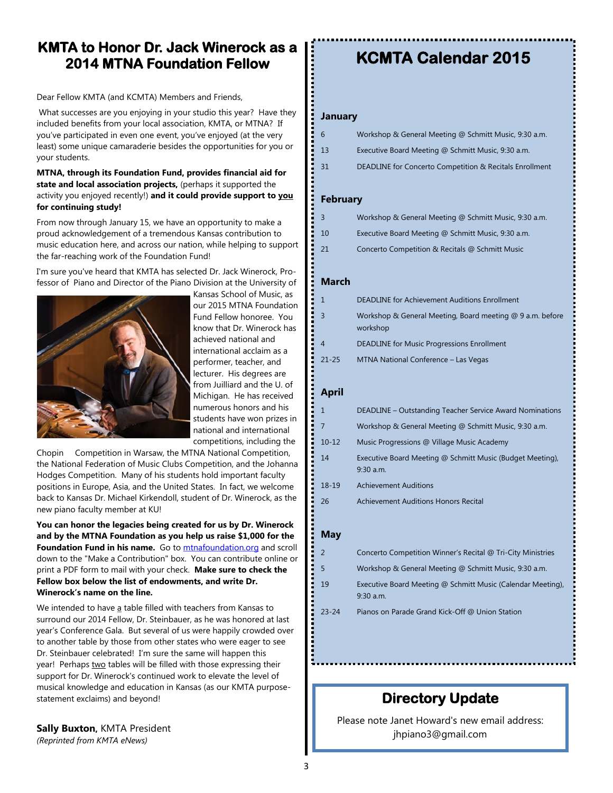# **KMTA to Honor Dr. Jack Winerock as a 2014 MTNA Foundation Fellow**

Dear Fellow KMTA (and KCMTA) Members and Friends,

What successes are you enjoying in your studio this year? Have they included benefits from your local association, KMTA, or MTNA? If you've participated in even one event, you've enjoyed (at the very least) some unique camaraderie besides the opportunities for you or your students.

#### **MTNA, through its Foundation Fund, provides financial aid for state and local association projects,** (perhaps it supported the activity you enjoyed recently!) **and it could provide support to you for continuing study!**

From now through January 15, we have an opportunity to make a proud acknowledgement of a tremendous Kansas contribution to music education here, and across our nation, while helping to support the far-reaching work of the Foundation Fund!

I'm sure you've heard that KMTA has selected Dr. Jack Winerock, Professor of Piano and Director of the Piano Division at the University of



Kansas School of Music, as our 2015 MTNA Foundation Fund Fellow honoree. You know that Dr. Winerock has achieved national and international acclaim as a performer, teacher, and lecturer. His degrees are from Juilliard and the U. of Michigan. He has received numerous honors and his students have won prizes in national and international competitions, including the

Chopin Competition in Warsaw, the MTNA National Competition, the National Federation of Music Clubs Competition, and the Johanna Hodges Competition. Many of his students hold important faculty positions in Europe, Asia, and the United States. In fact, we welcome back to Kansas Dr. Michael Kirkendoll, student of Dr. Winerock, as the new piano faculty member at KU!

**You can honor the legacies being created for us by Dr. Winerock and by the MTNA Foundation as you help us raise \$1,000 for the Foundation Fund in his name.** Go to<mtnafoundation.org> and scroll down to the "Make a Contribution" box. You can contribute online or print a PDF form to mail with your check. **Make sure to check the Fellow box below the list of endowments, and write Dr. Winerock's name on the line.** 

We intended to have a table filled with teachers from Kansas to surround our 2014 Fellow, Dr. Steinbauer, as he was honored at last year's Conference Gala. But several of us were happily crowded over to another table by those from other states who were eager to see Dr. Steinbauer celebrated! I'm sure the same will happen this year! Perhaps two tables will be filled with those expressing their support for Dr. Winerock's continued work to elevate the level of musical knowledge and education in Kansas (as our KMTA purposestatement exclaims) and beyond!

**Sally Buxton,** KMTA President *(Reprinted from KMTA eNews)*

# **KCMTA Calendar 2015**

#### **January**

| 6  | Workshop & General Meeting @ Schmitt Music, 9:30 a.m.   |
|----|---------------------------------------------------------|
| 13 | Executive Board Meeting @ Schmitt Music, 9:30 a.m.      |
| 31 | DEADLINE for Concerto Competition & Recitals Enrollment |

#### **February**

| $\overline{3}$ | Workshop & General Meeting @ Schmitt Music, 9:30 a.m. |
|----------------|-------------------------------------------------------|
| <sup>10</sup>  | Executive Board Meeting @ Schmitt Music, 9:30 a.m.    |
| - 21           | Concerto Competition & Recitals @ Schmitt Music       |

#### **March**

| $\mathbf{1}$   | <b>DEADLINE for Achievement Auditions Enrollment</b>                  |
|----------------|-----------------------------------------------------------------------|
| 3              | Workshop & General Meeting, Board meeting @ 9 a.m. before<br>workshop |
| $\overline{4}$ | <b>DEADLINE for Music Progressions Enrollment</b>                     |
| $21 - 25$      | MTNA National Conference - Las Vegas                                  |

#### **April**

| 1         | DEADLINE - Outstanding Teacher Service Award Nominations                 |
|-----------|--------------------------------------------------------------------------|
|           | Workshop & General Meeting @ Schmitt Music, 9:30 a.m.                    |
| $10 - 12$ | Music Progressions @ Village Music Academy                               |
| 14        | Executive Board Meeting @ Schmitt Music (Budget Meeting),<br>$9:30$ a.m. |
| 18-19     | <b>Achievement Auditions</b>                                             |
| 26        | Achievement Auditions Honors Recital                                     |
|           |                                                                          |

#### **May**

|        | Concerto Competition Winner's Recital @ Tri-City Ministries           |
|--------|-----------------------------------------------------------------------|
| 5      | Workshop & General Meeting @ Schmitt Music, 9:30 a.m.                 |
| $\sim$ | $\mathbf{r}$ . The state of $\mathbf{r}$ is the state of $\mathbf{r}$ |

- 19 Executive Board Meeting @ Schmitt Music (Calendar Meeting), 9:30 a.m.
- 23-24 Pianos on Parade Grand Kick-Off @ Union Station

# **Directory Update**

Please note Janet Howard's new email address: jhpiano3@gmail.com